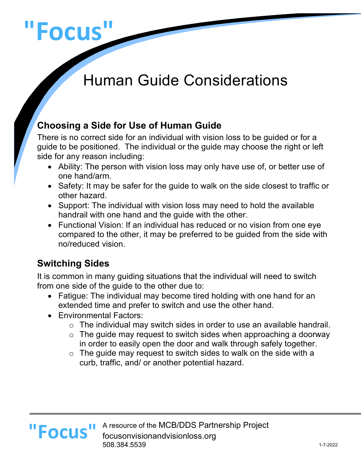# **"Focus"**

# Human Guide Considerations

# **Choosing a Side for Use of Human Guide**

There is no correct side for an individual with vision loss to be guided or for a guide to be positioned. The individual or the guide may choose the right or left side for any reason including:

- Ability: The person with vision loss may only have use of, or better use of one hand/arm.
- Safety: It may be safer for the guide to walk on the side closest to traffic or other hazard.
- Support: The individual with vision loss may need to hold the available handrail with one hand and the guide with the other.
- Functional Vision: If an individual has reduced or no vision from one eye compared to the other, it may be preferred to be guided from the side with no/reduced vision.

# **Switching Sides**

It is common in many guiding situations that the individual will need to switch from one side of the guide to the other due to:

- Fatigue: The individual may become tired holding with one hand for an extended time and prefer to switch and use the other hand.
- Environmental Factors:
	- $\circ$  The individual may switch sides in order to use an available handrail.
	- $\circ$  The guide may request to switch sides when approaching a doorway in order to easily open the door and walk through safely together.
	- $\circ$  The guide may request to switch sides to walk on the side with a curb, traffic, and/ or another potential hazard.



A resource of the MCB/DDS Partnership Project focusonvisionandvisionloss.org 508.384.5539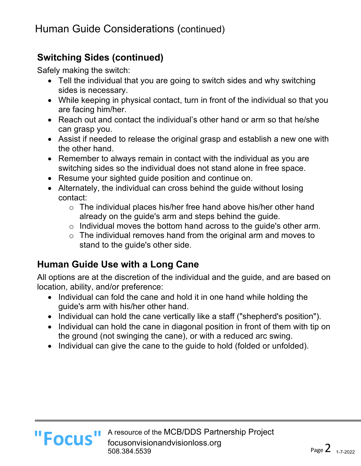#### **Switching Sides (continued)**

Safely making the switch:

- Tell the individual that you are going to switch sides and why switching sides is necessary.
- While keeping in physical contact, turn in front of the individual so that you are facing him/her.
- Reach out and contact the individual's other hand or arm so that he/she can grasp you.
- Assist if needed to release the original grasp and establish a new one with the other hand.
- Remember to always remain in contact with the individual as you are switching sides so the individual does not stand alone in free space.
- Resume your sighted guide position and continue on.
- Alternately, the individual can cross behind the guide without losing contact:
	- o The individual places his/her free hand above his/her other hand already on the guide's arm and steps behind the guide.
	- $\circ$  Individual moves the bottom hand across to the guide's other arm.
	- $\circ$  The individual removes hand from the original arm and moves to stand to the guide's other side.

#### **Human Guide Use with a Long Cane**

All options are at the discretion of the individual and the guide, and are based on location, ability, and/or preference:

- Individual can fold the cane and hold it in one hand while holding the guide's arm with his/her other hand.
- Individual can hold the cane vertically like a staff ("shepherd's position").
- Individual can hold the cane in diagonal position in front of them with tip on the ground (not swinging the cane), or with a reduced arc swing.
- Individual can give the cane to the guide to hold (folded or unfolded).

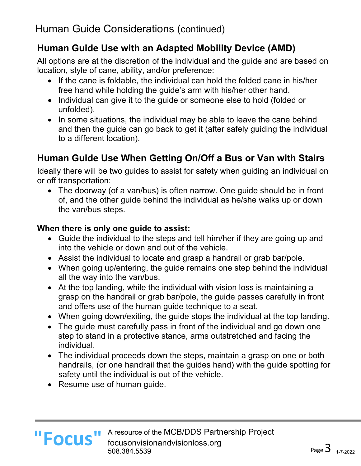# **Human Guide Use with an Adapted Mobility Device (AMD)**

All options are at the discretion of the individual and the guide and are based on location, style of cane, ability, and/or preference:

- If the cane is foldable, the individual can hold the folded cane in his/her free hand while holding the guide's arm with his/her other hand.
- Individual can give it to the guide or someone else to hold (folded or unfolded).
- In some situations, the individual may be able to leave the cane behind and then the guide can go back to get it (after safely guiding the individual to a different location).

# **Human Guide Use When Getting On/Off a Bus or Van with Stairs**

Ideally there will be two guides to assist for safety when guiding an individual on or off transportation:

• The doorway (of a van/bus) is often narrow. One guide should be in front of, and the other guide behind the individual as he/she walks up or down the van/bus steps.

#### **When there is only one guide to assist:**

- Guide the individual to the steps and tell him/her if they are going up and into the vehicle or down and out of the vehicle.
- Assist the individual to locate and grasp a handrail or grab bar/pole.
- When going up/entering, the guide remains one step behind the individual all the way into the van/bus.
- At the top landing, while the individual with vision loss is maintaining a grasp on the handrail or grab bar/pole, the guide passes carefully in front and offers use of the human guide technique to a seat.
- When going down/exiting, the guide stops the individual at the top landing.
- The guide must carefully pass in front of the individual and go down one step to stand in a protective stance, arms outstretched and facing the individual.
- The individual proceeds down the steps, maintain a grasp on one or both handrails, (or one handrail that the guides hand) with the guide spotting for safety until the individual is out of the vehicle.
- Resume use of human guide.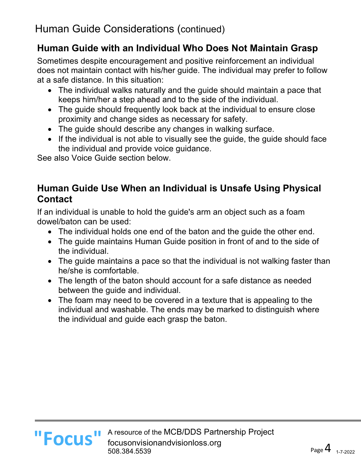#### **Human Guide with an Individual Who Does Not Maintain Grasp**

Sometimes despite encouragement and positive reinforcement an individual does not maintain contact with his/her guide. The individual may prefer to follow at a safe distance. In this situation:

- The individual walks naturally and the guide should maintain a pace that keeps him/her a step ahead and to the side of the individual.
- The guide should frequently look back at the individual to ensure close proximity and change sides as necessary for safety.
- The guide should describe any changes in walking surface.
- If the individual is not able to visually see the guide, the guide should face the individual and provide voice guidance.

See also Voice Guide section below.

#### **Human Guide Use When an Individual is Unsafe Using Physical Contact**

If an individual is unable to hold the guide's arm an object such as a foam dowel/baton can be used:

- The individual holds one end of the baton and the guide the other end.
- The guide maintains Human Guide position in front of and to the side of the individual.
- The guide maintains a pace so that the individual is not walking faster than he/she is comfortable.
- The length of the baton should account for a safe distance as needed between the guide and individual.
- The foam may need to be covered in a texture that is appealing to the individual and washable. The ends may be marked to distinguish where the individual and guide each grasp the baton.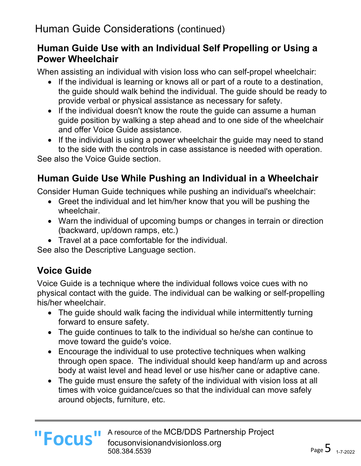#### **Human Guide Use with an Individual Self Propelling or Using a Power Wheelchair**

When assisting an individual with vision loss who can self-propel wheelchair:

- If the individual is learning or knows all or part of a route to a destination, the guide should walk behind the individual. The guide should be ready to provide verbal or physical assistance as necessary for safety.
- If the individual doesn't know the route the guide can assume a human guide position by walking a step ahead and to one side of the wheelchair and offer Voice Guide assistance.
- If the individual is using a power wheelchair the guide may need to stand to the side with the controls in case assistance is needed with operation. See also the Voice Guide section.

# **Human Guide Use While Pushing an Individual in a Wheelchair**

Consider Human Guide techniques while pushing an individual's wheelchair:

- Greet the individual and let him/her know that you will be pushing the wheelchair.
- Warn the individual of upcoming bumps or changes in terrain or direction (backward, up/down ramps, etc.)
- Travel at a pace comfortable for the individual.

See also the Descriptive Language section.

# **Voice Guide**

**"Focus"**

Voice Guide is a technique where the individual follows voice cues with no physical contact with the guide. The individual can be walking or self-propelling his/her wheelchair.

- The guide should walk facing the individual while intermittently turning forward to ensure safety.
- The guide continues to talk to the individual so he/she can continue to move toward the guide's voice.
- Encourage the individual to use protective techniques when walking through open space. The individual should keep hand/arm up and across body at waist level and head level or use his/her cane or adaptive cane.
- The guide must ensure the safety of the individual with vision loss at all times with voice guidance/cues so that the individual can move safely around objects, furniture, etc.

A resource of the MCB/DDS Partnership Project focusonvisionandvisionloss.org 508.384.5539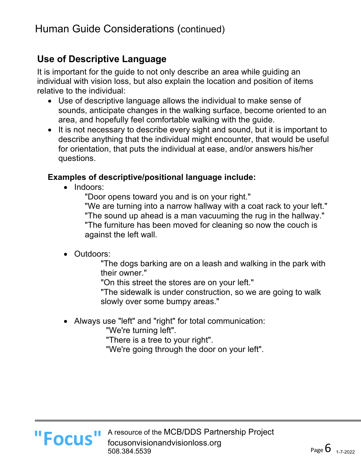#### **Use of Descriptive Language**

It is important for the guide to not only describe an area while guiding an individual with vision loss, but also explain the location and position of items relative to the individual:

- Use of descriptive language allows the individual to make sense of sounds, anticipate changes in the walking surface, become oriented to an area, and hopefully feel comfortable walking with the guide.
- It is not necessary to describe every sight and sound, but it is important to describe anything that the individual might encounter, that would be useful for orientation, that puts the individual at ease, and/or answers his/her questions.

#### **Examples of descriptive/positional language include:**

• Indoors:

"Door opens toward you and is on your right."

"We are turning into a narrow hallway with a coat rack to your left." "The sound up ahead is a man vacuuming the rug in the hallway." "The furniture has been moved for cleaning so now the couch is against the left wall.

• Outdoors:

"The dogs barking are on a leash and walking in the park with their owner."

"On this street the stores are on your left."

"The sidewalk is under construction, so we are going to walk slowly over some bumpy areas."

• Always use "left" and "right" for total communication:

"We're turning left".

"There is a tree to your right".

"We're going through the door on your left".



A resource of the MCB/DDS Partnership Project **II FOCUS** A resource of the MCB/DDS Partr<br> **FOCUS** cousonvisionandvisionloss.org 508.384.5539